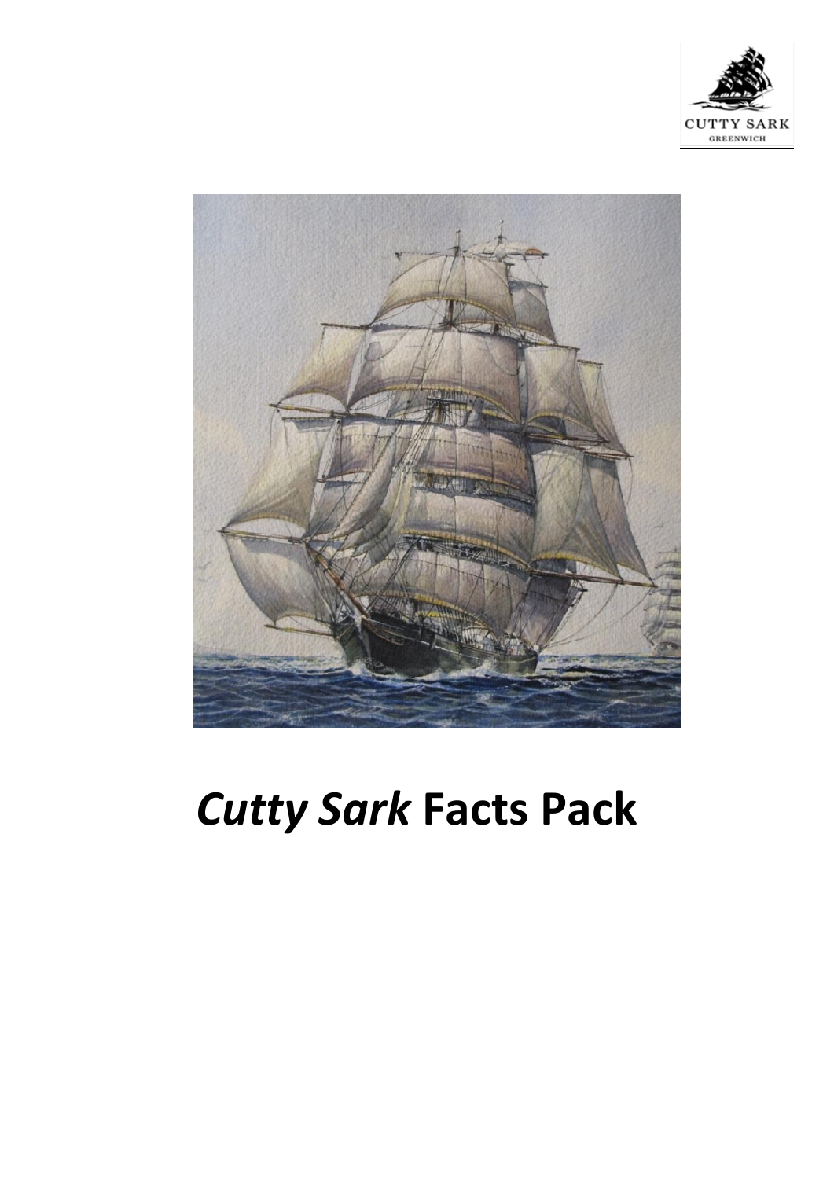



# *Cutty Sark* **Facts Pack**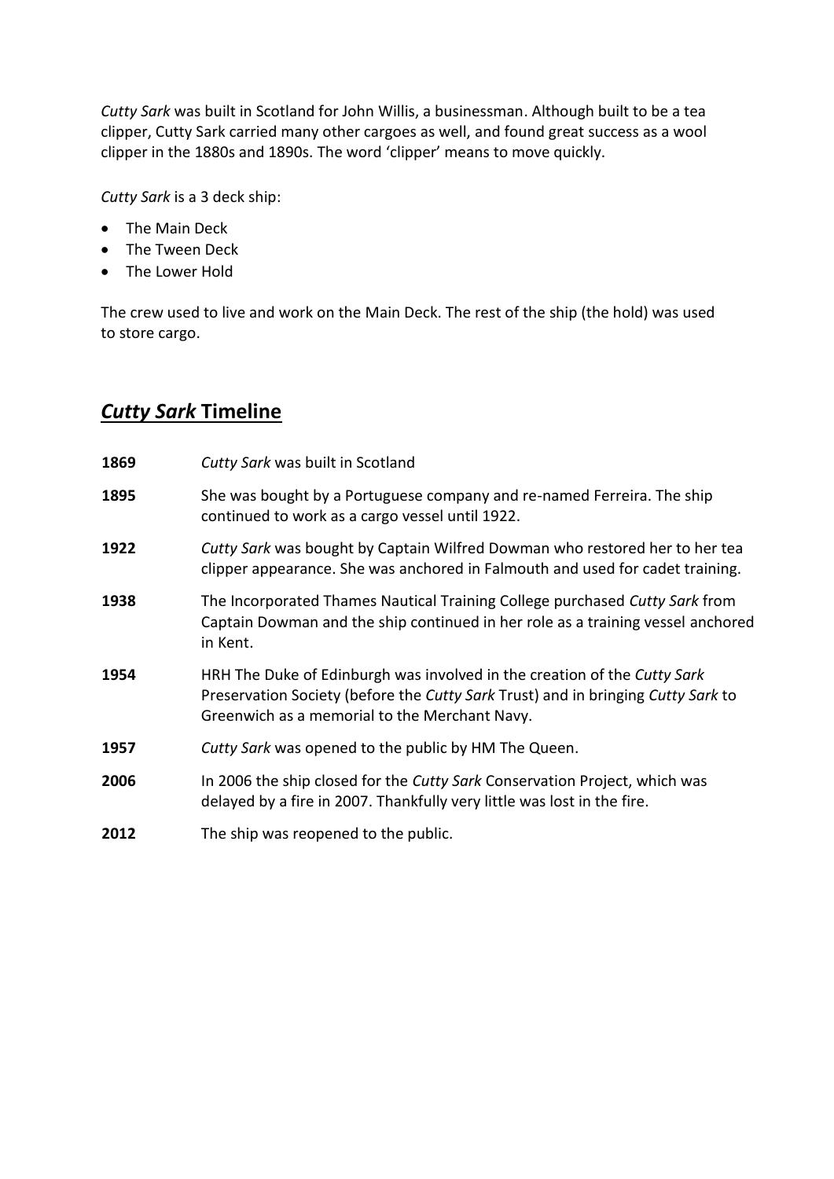*Cutty Sark* was built in Scotland for John Willis, a businessman. Although built to be a tea clipper, Cutty Sark carried many other cargoes as well, and found great success as a wool clipper in the 1880s and 1890s. The word 'clipper' means to move quickly.

*Cutty Sark* is a 3 deck ship:

- The Main Deck
- The Tween Deck
- The Lower Hold

The crew used to live and work on the Main Deck. The rest of the ship (the hold) was used to store cargo.

## *Cutty Sark* **Timeline**

| 1869 | Cutty Sark was built in Scotland                                                                                                                                                                              |
|------|---------------------------------------------------------------------------------------------------------------------------------------------------------------------------------------------------------------|
| 1895 | She was bought by a Portuguese company and re-named Ferreira. The ship<br>continued to work as a cargo vessel until 1922.                                                                                     |
| 1922 | Cutty Sark was bought by Captain Wilfred Dowman who restored her to her tea<br>clipper appearance. She was anchored in Falmouth and used for cadet training.                                                  |
| 1938 | The Incorporated Thames Nautical Training College purchased Cutty Sark from<br>Captain Dowman and the ship continued in her role as a training vessel anchored<br>in Kent.                                    |
| 1954 | HRH The Duke of Edinburgh was involved in the creation of the Cutty Sark<br>Preservation Society (before the Cutty Sark Trust) and in bringing Cutty Sark to<br>Greenwich as a memorial to the Merchant Navy. |
| 1957 | Cutty Sark was opened to the public by HM The Queen.                                                                                                                                                          |
| 2006 | In 2006 the ship closed for the Cutty Sark Conservation Project, which was<br>delayed by a fire in 2007. Thankfully very little was lost in the fire.                                                         |
| 2012 | The ship was reopened to the public.                                                                                                                                                                          |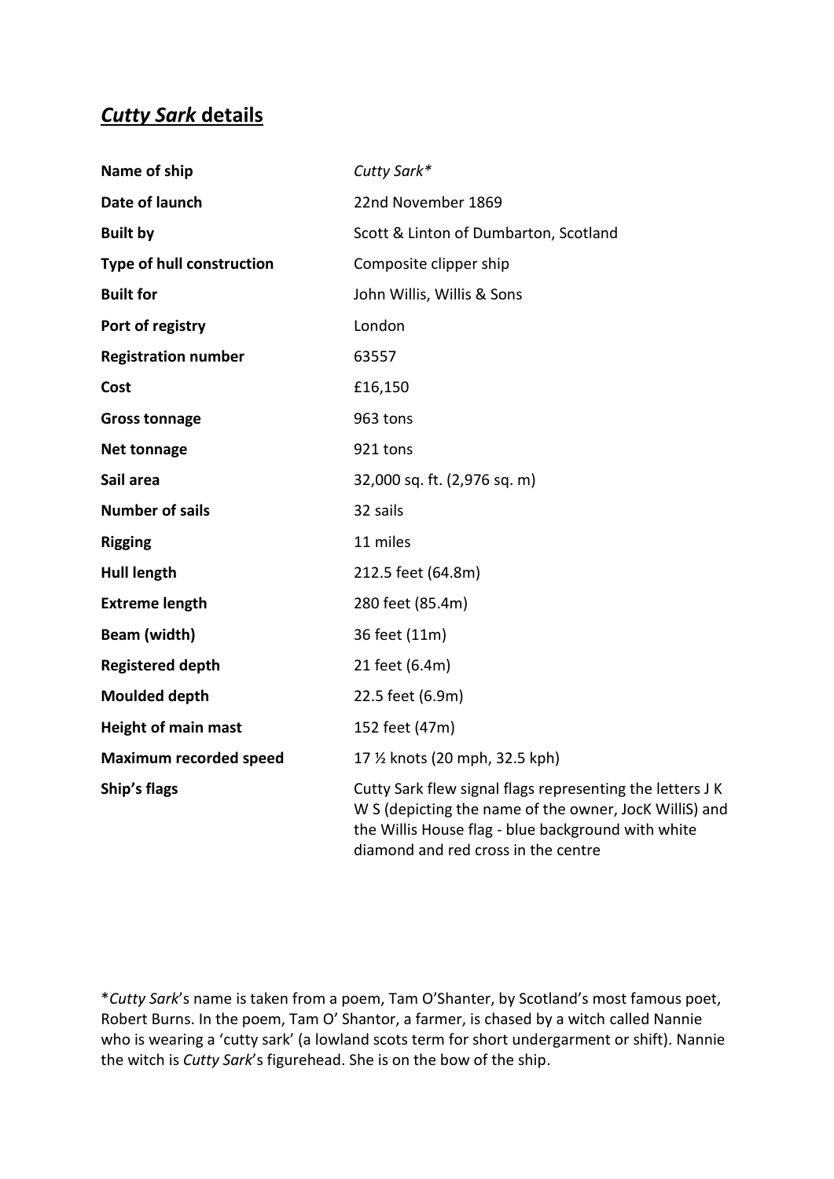## *Cutty Sark* **details**

| Name of ship                  | Cutty Sark*                                                                                                                                                                                                      |
|-------------------------------|------------------------------------------------------------------------------------------------------------------------------------------------------------------------------------------------------------------|
| Date of launch                | 22nd November 1869                                                                                                                                                                                               |
| <b>Built by</b>               | Scott & Linton of Dumbarton, Scotland                                                                                                                                                                            |
| Type of hull construction     | Composite clipper ship                                                                                                                                                                                           |
| <b>Built for</b>              | John Willis, Willis & Sons                                                                                                                                                                                       |
| Port of registry              | London                                                                                                                                                                                                           |
| <b>Registration number</b>    | 63557                                                                                                                                                                                                            |
| Cost                          | £16,150                                                                                                                                                                                                          |
| <b>Gross tonnage</b>          | 963 tons                                                                                                                                                                                                         |
| <b>Net tonnage</b>            | 921 tons                                                                                                                                                                                                         |
| Sail area                     | 32,000 sq. ft. (2,976 sq. m)                                                                                                                                                                                     |
| <b>Number of sails</b>        | 32 sails                                                                                                                                                                                                         |
| <b>Rigging</b>                | 11 miles                                                                                                                                                                                                         |
| <b>Hull length</b>            | 212.5 feet (64.8m)                                                                                                                                                                                               |
| <b>Extreme length</b>         | 280 feet (85.4m)                                                                                                                                                                                                 |
| Beam (width)                  | 36 feet (11m)                                                                                                                                                                                                    |
| <b>Registered depth</b>       | 21 feet (6.4m)                                                                                                                                                                                                   |
| <b>Moulded depth</b>          | 22.5 feet (6.9m)                                                                                                                                                                                                 |
| <b>Height of main mast</b>    | 152 feet (47m)                                                                                                                                                                                                   |
| <b>Maximum recorded speed</b> | 17 % knots (20 mph, 32.5 kph)                                                                                                                                                                                    |
| Ship's flags                  | Cutty Sark flew signal flags representing the letters J K<br>W S (depicting the name of the owner, JocK WilliS) and<br>the Willis House flag - blue background with white<br>diamond and red cross in the centre |

\**Cutty Sark*'s name is taken from a poem, Tam O'Shanter, by Scotland's most famous poet, Robert Burns. In the poem, Tam O' Shantor, a farmer, is chased by a witch called Nannie who is wearing a 'cutty sark' (a lowland scots term for short undergarment or shift). Nannie the witch is *Cutty Sark*'s figurehead. She is on the bow of the ship.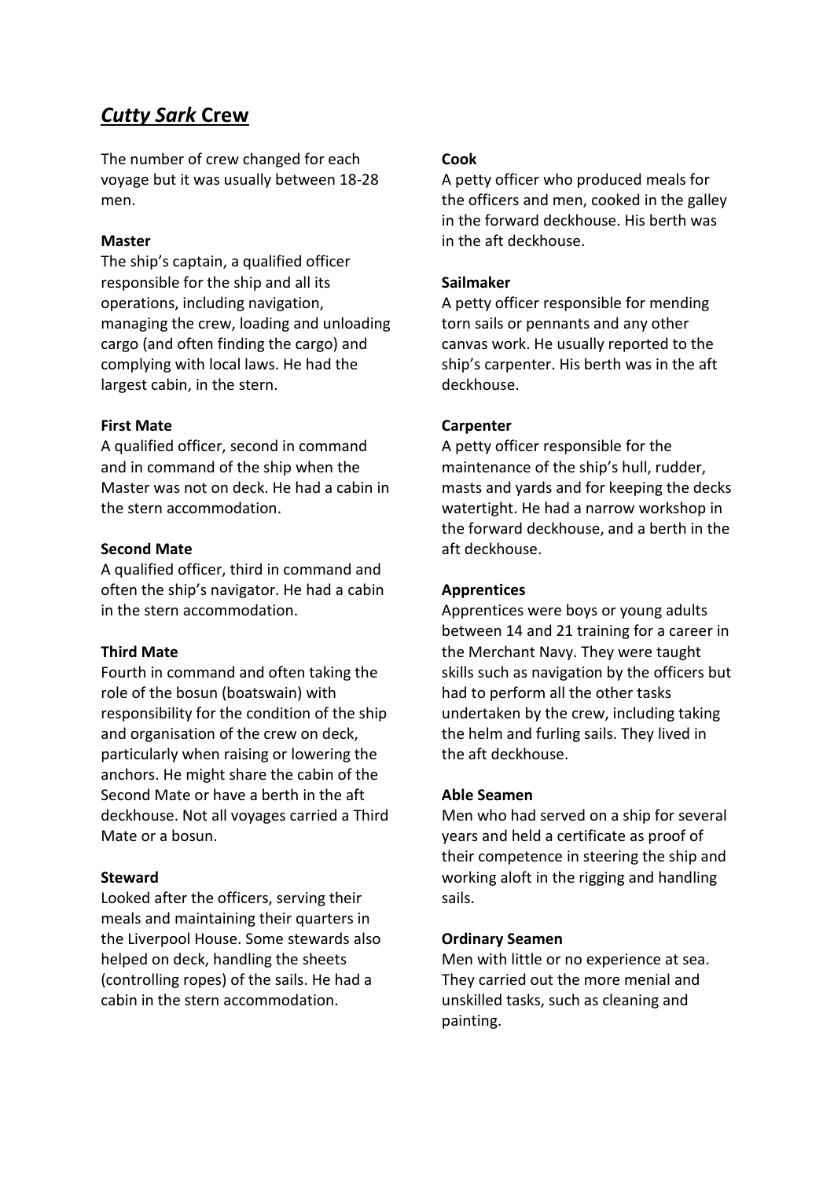## *Cutty Sark* **Crew**

The number of crew changed for each voyage but it was usually between 18-28 men.

#### **Master**

The ship's captain, a qualified officer responsible for the ship and all its operations, including navigation, managing the crew, loading and unloading cargo (and often finding the cargo) and complying with local laws. He had the largest cabin, in the stern.

#### **First Mate**

A qualified officer, second in command and in command of the ship when the Master was not on deck. He had a cabin in the stern accommodation.

#### **Second Mate**

A qualified officer, third in command and often the ship's navigator. He had a cabin in the stern accommodation.

#### **Third Mate**

Fourth in command and often taking the role of the bosun (boatswain) with responsibility for the condition of the ship and organisation of the crew on deck, particularly when raising or lowering the anchors. He might share the cabin of the Second Mate or have a berth in the aft deckhouse. Not all voyages carried a Third Mate or a bosun.

#### **Steward**

Looked after the officers, serving their meals and maintaining their quarters in the Liverpool House. Some stewards also helped on deck, handling the sheets (controlling ropes) of the sails. He had a cabin in the stern accommodation.

#### **Cook**

A petty officer who produced meals for the officers and men, cooked in the galley in the forward deckhouse. His berth was in the aft deckhouse.

#### **Sailmaker**

A petty officer responsible for mending torn sails or pennants and any other canvas work. He usually reported to the ship's carpenter. His berth was in the aft deckhouse.

#### **Carpenter**

A petty officer responsible for the maintenance of the ship's hull, rudder, masts and yards and for keeping the decks watertight. He had a narrow workshop in the forward deckhouse, and a berth in the aft deckhouse.

#### **Apprentices**

Apprentices were boys or young adults between 14 and 21 training for a career in the Merchant Navy. They were taught skills such as navigation by the officers but had to perform all the other tasks undertaken by the crew, including taking the helm and furling sails. They lived in the aft deckhouse.

#### **Able Seamen**

Men who had served on a ship for several years and held a certificate as proof of their competence in steering the ship and working aloft in the rigging and handling sails.

#### **Ordinary Seamen**

Men with little or no experience at sea. They carried out the more menial and unskilled tasks, such as cleaning and painting.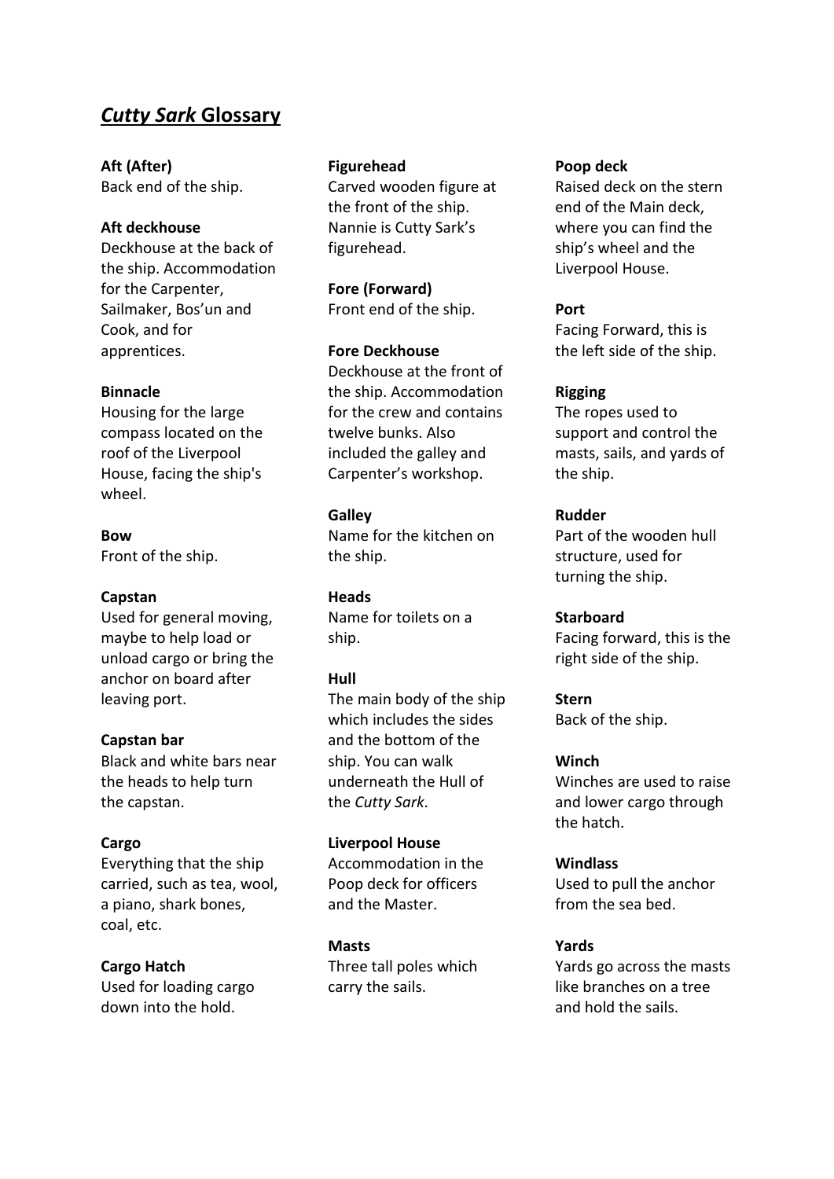### *Cutty Sark* **Glossary**

**Aft (After)** Back end of the ship.

#### **Aft deckhouse**

Deckhouse at the back of the ship. Accommodation for the Carpenter, Sailmaker, Bos'un and Cook, and for apprentices.

#### **Binnacle**

Housing for the large compass located on the roof of the Liverpool House, facing the ship's wheel.

#### **Bow**

Front of the ship.

#### **Capstan**

Used for general moving, maybe to help load or unload cargo or bring the anchor on board after leaving port.

#### **Capstan bar**

Black and white bars near the heads to help turn the capstan.

#### **Cargo**

Everything that the ship carried, such as tea, wool, a piano, shark bones, coal, etc.

#### **Cargo Hatch**

Used for loading cargo down into the hold.

#### **Figurehead**

Carved wooden figure at the front of the ship. Nannie is Cutty Sark's figurehead.

**Fore (Forward)** Front end of the ship.

#### **Fore Deckhouse**

Deckhouse at the front of the ship. Accommodation for the crew and contains twelve bunks. Also included the galley and Carpenter's workshop.

#### **Galley**

Name for the kitchen on the ship.

**Heads** Name for toilets on a ship.

#### **Hull**

The main body of the ship which includes the sides and the bottom of the ship. You can walk underneath the Hull of the *Cutty Sark*.

#### **Liverpool House**

Accommodation in the Poop deck for officers and the Master.

#### **Masts** Three tall poles which carry the sails.

#### **Poop deck**

Raised deck on the stern end of the Main deck, where you can find the ship's wheel and the Liverpool House.

#### **Port**

Facing Forward, this is the left side of the ship.

#### **Rigging**

The ropes used to support and control the masts, sails, and yards of the ship.

#### **Rudder**

Part of the wooden hull structure, used for turning the ship.

#### **Starboard**

Facing forward, this is the right side of the ship.

**Stern** Back of the ship.

#### **Winch**

Winches are used to raise and lower cargo through the hatch.

**Windlass** Used to pull the anchor from the sea bed.

#### **Yards**

Yards go across the masts like branches on a tree and hold the sails.